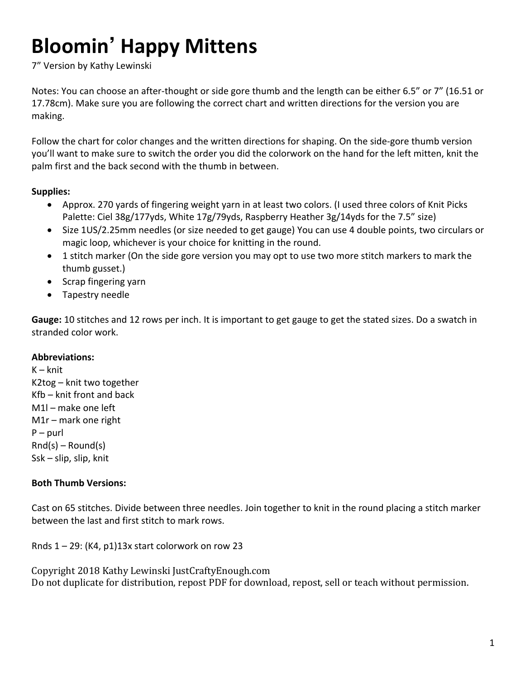# **Bloomin' Happy Mittens**

7" Version by Kathy Lewinski

Notes: You can choose an after-thought or side gore thumb and the length can be either 6.5" or 7" (16.51 or 17.78cm). Make sure you are following the correct chart and written directions for the version you are making. 

Follow the chart for color changes and the written directions for shaping. On the side-gore thumb version you'll want to make sure to switch the order you did the colorwork on the hand for the left mitten, knit the palm first and the back second with the thumb in between.

### **Supplies:**

- Approx. 270 yards of fingering weight yarn in at least two colors. (I used three colors of Knit Picks Palette: Ciel 38g/177yds, White  $17g/79y$ ds, Raspberry Heather 3g/14yds for the 7.5" size)
- Size 1US/2.25mm needles (or size needed to get gauge) You can use 4 double points, two circulars or magic loop, whichever is your choice for knitting in the round.
- 1 stitch marker (On the side gore version you may opt to use two more stitch markers to mark the thumb gusset.)
- Scrap fingering yarn
- Tapestry needle

**Gauge:** 10 stitches and 12 rows per inch. It is important to get gauge to get the stated sizes. Do a swatch in stranded color work.

#### **Abbreviations:**

 $K - k$ nit  $K2$ tog – knit two together  $Kfb$  – knit front and back  $M1$  – make one left  $M1r$  – mark one right  $P$  – purl  $Rnd(s)$  – Round(s)  $S$ sk – slip, slip, knit

#### **Both Thumb Versions:**

Cast on 65 stitches. Divide between three needles. Join together to knit in the round placing a stitch marker between the last and first stitch to mark rows.

Rnds  $1 - 29$ : (K4, p1)13x start colorwork on row 23

Copyright 2018 Kathy Lewinski JustCraftyEnough.com Do not duplicate for distribution, repost PDF for download, repost, sell or teach without permission.